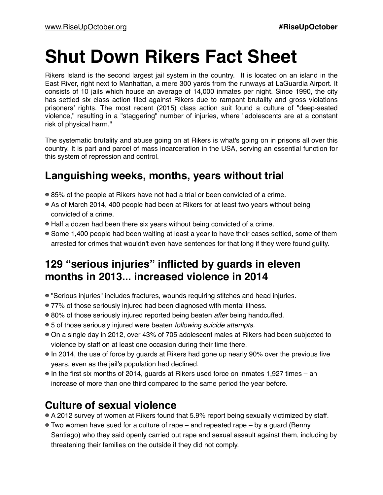# **Shut Down Rikers Fact Sheet**

Rikers Island is the second largest jail system in the country. It is located on an island in the East River, right next to Manhattan, a mere 300 yards from the runways at LaGuardia Airport. It consists of 10 jails which house an average of 14,000 inmates per night. Since 1990, the city has settled six class action filed against Rikers due to rampant brutality and gross violations prisoners' rights. The most recent (2015) class action suit found a culture of "deep-seated violence," resulting in a "staggering" number of injuries, where "adolescents are at a constant risk of physical harm."

The systematic brutality and abuse going on at Rikers is what's going on in prisons all over this country. It is part and parcel of mass incarceration in the USA, serving an essential function for this system of repression and control.

#### **Languishing weeks, months, years without trial**

- 85% of the people at Rikers have not had a trial or been convicted of a crime.
- As of March 2014, 400 people had been at Rikers for at least two years without being convicted of a crime.
- Half a dozen had been there six years without being convicted of a crime.
- Some 1,400 people had been waiting at least a year to have their cases settled, some of them arrested for crimes that wouldn't even have sentences for that long if they were found guilty.

### **129 "serious injuries" inflicted by guards in eleven months in 2013... increased violence in 2014**

- "Serious injuries" includes fractures, wounds requiring stitches and head injuries.
- 77% of those seriously injured had been diagnosed with mental illness.
- 80% of those seriously injured reported being beaten *after* being handcuffed.
- 5 of those seriously injured were beaten *following suicide attempts.*
- On a single day in 2012, over 43% of 705 adolescent males at Rikers had been subjected to violence by staff on at least one occasion during their time there.
- In 2014, the use of force by guards at Rikers had gone up nearly 90% over the previous five years, even as the jail's population had declined.
- In the first six months of 2014, guards at Rikers used force on inmates 1,927 times an increase of more than one third compared to the same period the year before.

#### **Culture of sexual violence**

- A 2012 survey of women at Rikers found that 5.9% report being sexually victimized by staff.
- Two women have sued for a culture of rape and repeated rape by a guard (Benny Santiago) who they said openly carried out rape and sexual assault against them, including by threatening their families on the outside if they did not comply.